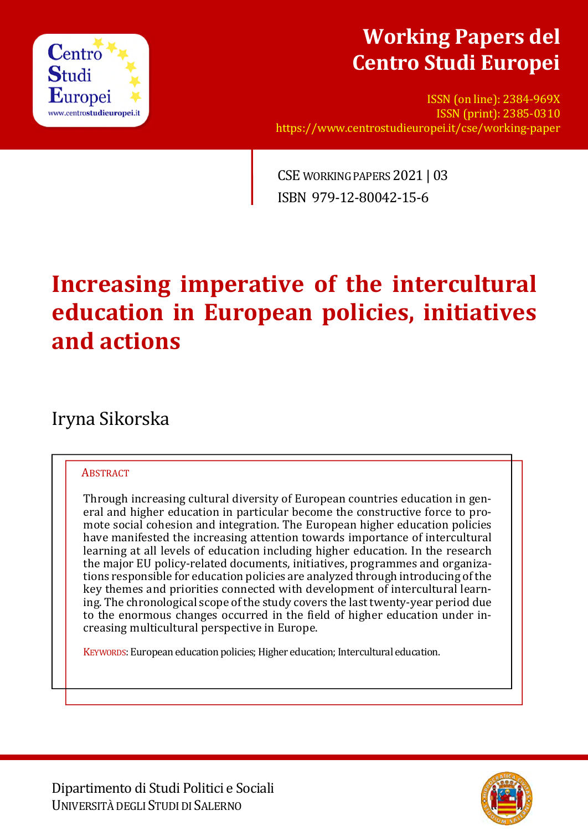

## **Working Papers del Centro Studi Europei**

ISSN (on line): 2384-969X ISSN (print): 2385-0310 https://www.centrostudieuropei.it/cse/working-paper

CSE WORKING PAPERS 2021 | 03 ISBN 979-12-80042-15-6

# **Increasing imperative of the intercultural education in European policies, initiatives and actions**

## Iryna Sikorska

### **ABSTRACT**

Through increasing cultural diversity of European countries education in general and higher education in particular become the constructive force to promote social cohesion and integration. The European higher education policies have manifested the increasing attention towards importance of intercultural learning at all levels of education including higher education. In the research the major EU policy-related documents, initiatives, programmes and organizations responsible for education policies are analyzed through introducing of the key themes and priorities connected with development of intercultural learning. The chronological scope of the study covers the last twenty-year period due to the enormous changes occurred in the field of higher education under increasing multicultural perspective in Europe.

KEYWORDS: European education policies; Higher education; Intercultural education.

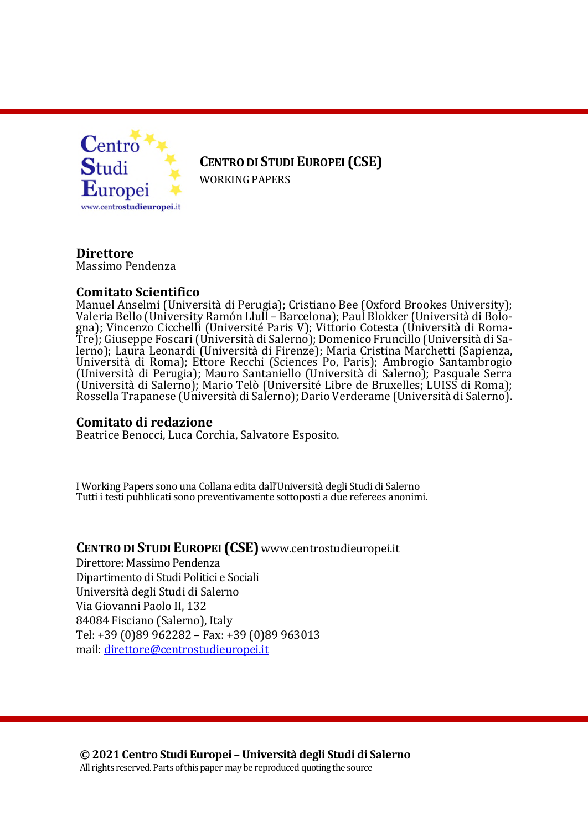

**CENTRO DI STUDIEUROPEI (CSE)**

WORKING PAPERS

**Direttore** Massimo Pendenza

#### **Comitato Scientifico**

Manuel Anselmi (Università di Perugia); Cristiano Bee (Oxford Brookes University); Valeria Bello (University Ramón Llull – Barcelona); Paul Blokker (Università di Bologna); Vincenzo Cicchelli (Université Paris V); Vittorio Cotesta (Università di Roma-Tre); Giuseppe Foscari (Università di Salerno); Domenico Fruncillo (Università di Salerno); Laura Leonardi (Università di Firenze); Maria Cristina Marchetti (Sapienza, Università di Roma); Ettore Recchi (Sciences Po, Paris); Ambrogio Santambrogio (Università di Perugia); Mauro Santaniello (Università di Salerno); Pasquale Serra (Università di Salerno); Mario Telò (Université Libre de Bruxelles; LUISS di Roma); Rossella Trapanese (Università di Salerno); Dario Verderame (Università di Salerno).

#### **Comitato di redazione**

Beatrice Benocci, Luca Corchia, Salvatore Esposito.

I Working Papers sono una Collana edita dall'Università degli Studi di Salerno Tutti i testi pubblicati sono preventivamente sottoposti a due referees anonimi.

### **CENTRO DI STUDIEUROPEI (CSE)** www.centrostudieuropei.it

Direttore: Massimo Pendenza Dipartimento di Studi Politici e Sociali Università degli Studi di Salerno Via Giovanni Paolo II, 132 84084 Fisciano (Salerno), Italy Tel: +39 (0)89 962282 – Fax: +39 (0)89 963013 mail: direttore@centrostudieuropei.it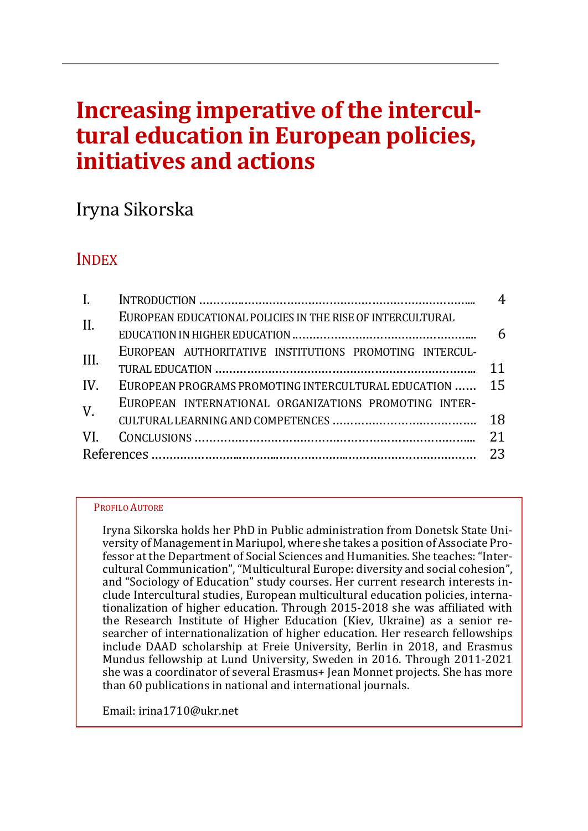# **Increasing imperative of the intercultural education in European policies, initiatives and actions**

## Iryna Sikorska

## INDEX

| $\mathbf{I}$ . |                                                            | 4 |
|----------------|------------------------------------------------------------|---|
| II.            | EUROPEAN EDUCATIONAL POLICIES IN THE RISE OF INTERCULTURAL |   |
|                |                                                            | 6 |
| III.           | EUROPEAN AUTHORITATIVE INSTITUTIONS PROMOTING INTERCUL-    |   |
|                |                                                            |   |
| IV.            | EUROPEAN PROGRAMS PROMOTING INTERCULTURAL EDUCATION  15    |   |
| $V_{\cdot}$    | EUROPEAN INTERNATIONAL ORGANIZATIONS PROMOTING INTER-      |   |
|                |                                                            |   |
|                |                                                            |   |
|                |                                                            |   |

#### PROFILO AUTORE

Iryna Sikorska holds her PhD in Public administration from Donetsk State University of Management in Mariupol, where she takes a position of Associate Professor at the Department of Social Sciences and Humanities. She teaches: "Intercultural Communication", "Multicultural Europe: diversity and social cohesion", and "Sociology of Education" study courses. Her current research interests include Intercultural studies, European multicultural education policies, internationalization of higher education. Through 2015-2018 she was affiliated with the Research Institute of Higher Education (Kiev, Ukraine) as a senior researcher of internationalization of higher education. Her research fellowships include DAAD scholarship at Freie University, Berlin in 2018, and Erasmus Mundus fellowship at Lund University, Sweden in 2016. Through 2011‐2021 she was a coordinator of several Erasmus+ Jean Monnet projects. She has more than 60 publications in national and international journals.

Email: irina1710@ukr.net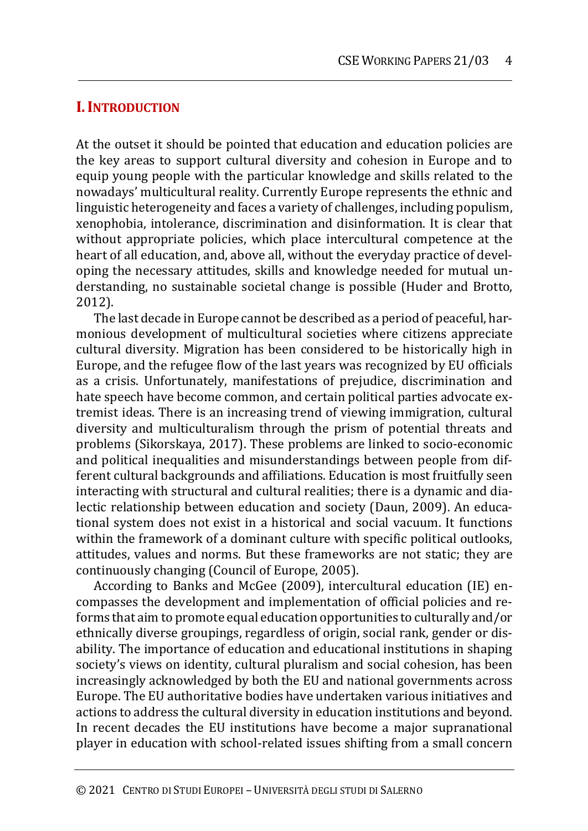## **I.INTRODUCTION**

At the outset it should be pointed that education and education policies are the key areas to support cultural diversity and cohesion in Europe and to equip young people with the particular knowledge and skills related to the nowadays' multicultural reality. Currently Europe represents the ethnic and linguistic heterogeneity and faces a variety of challenges, including populism, xenophobia, intolerance, discrimination and disinformation. It is clear that without appropriate policies, which place intercultural competence at the heart of all education, and, above all, without the everyday practice of developing the necessary attitudes, skills and knowledge needed for mutual understanding, no sustainable societal change is possible (Huder and Brotto, 2012).

The last decade in Europe cannot be described as a period of peaceful, harmonious development of multicultural societies where citizens appreciate cultural diversity. Migration has been considered to be historically high in Europe, and the refugee flow of the last years was recognized by EU officials as a crisis. Unfortunately, manifestations of prejudice, discrimination and hate speech have become common, and certain political parties advocate extremist ideas. There is an increasing trend of viewing immigration, cultural diversity and multiculturalism through the prism of potential threats and problems (Sikorskaya, 2017). These problems are linked to socio-economic and political inequalities and misunderstandings between people from different cultural backgrounds and affiliations. Education is most fruitfully seen interacting with structural and cultural realities; there is a dynamic and dialectic relationship between education and society (Daun, 2009). An educational system does not exist in a historical and social vacuum. It functions within the framework of a dominant culture with specific political outlooks, attitudes, values and norms. But these frameworks are not static; they are continuously changing (Council of Europe, 2005).

According to Banks and McGee (2009), intercultural education (IE) encompasses the development and implementation of official policies and reforms that aim to promote equal education opportunities to culturally and/or ethnically diverse groupings, regardless of origin, social rank, gender or disability. The importance of education and educational institutions in shaping society's views on identity, cultural pluralism and social cohesion, has been increasingly acknowledged by both the EU and national governments across Europe. The EU authoritative bodies have undertaken various initiatives and actions to address the cultural diversity in education institutions and beyond. In recent decades the EU institutions have become a major supranational player in education with school-related issues shifting from a small concern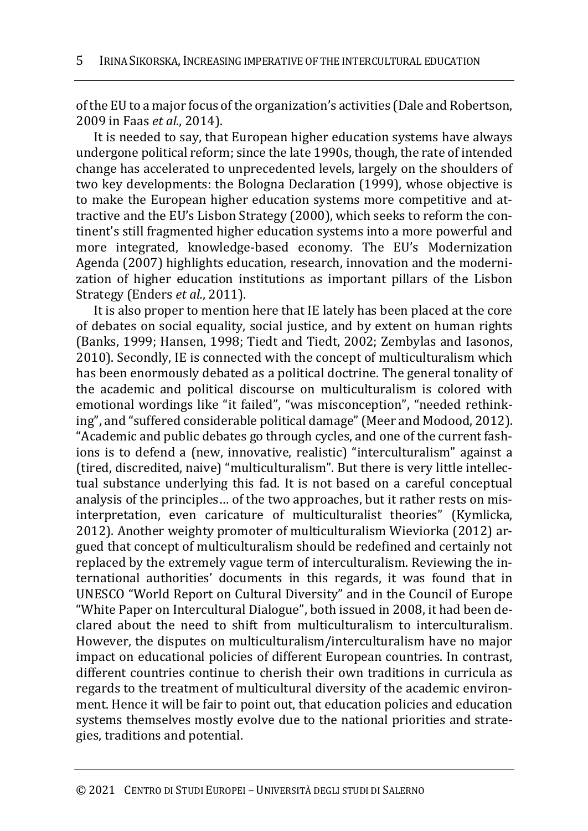of the EU to a major focus of the organization's activities (Dale and Robertson, 2009 in Faas *et al.*, 2014).

It is needed to say, that European higher education systems have always undergone political reform; since the late 1990s, though, the rate of intended change has accelerated to unprecedented levels, largely on the shoulders of two key developments: the Bologna Declaration (1999), whose objective is to make the European higher education systems more competitive and attractive and the EU's Lisbon Strategy (2000), which seeks to reform the continent's still fragmented higher education systems into a more powerful and more integrated, knowledge-based economy. The EU's Modernization Agenda (2007) highlights education, research, innovation and the modernization of higher education institutions as important pillars of the Lisbon Strategy (Enders *et al.*, 2011).

It is also proper to mention here that IE lately has been placed at the core of debates on social equality, social justice, and by extent on human rights (Banks, 1999; Hansen, 1998; Tiedt and Tiedt, 2002; Zembylas and Iasonos, 2010). Secondly, IE is connected with the concept of multiculturalism which has been enormously debated as a political doctrine. The general tonality of the academic and political discourse on multiculturalism is colored with emotional wordings like "it failed", "was misconception", "needed rethinking", and "suffered considerable political damage" (Meer and Modood, 2012). "Academic and public debates go through cycles, and one of the current fashions is to defend a (new, innovative, realistic) "interculturalism" against a (tired, discredited, naive) "multiculturalism". But there is very little intellectual substance underlying this fad. It is not based on a careful conceptual analysis of the principles… of the two approaches, but it rather rests on misinterpretation, even caricature of multiculturalist theories" (Kymlicka, 2012). Another weighty promoter of multiculturalism Wieviorka (2012) argued that concept of multiculturalism should be redefined and certainly not replaced by the extremely vague term of interculturalism. Reviewing the international authorities' documents in this regards, it was found that in UNESCO "World Report on Cultural Diversity" and in the Council of Europe "White Paper on Intercultural Dialogue", both issued in 2008, it had been declared about the need to shift from multiculturalism to interculturalism. However, the disputes on multiculturalism/interculturalism have no major impact on educational policies of different European countries. In contrast, different countries continue to cherish their own traditions in curricula as regards to the treatment of multicultural diversity of the academic environment. Hence it will be fair to point out, that education policies and education systems themselves mostly evolve due to the national priorities and strategies, traditions and potential.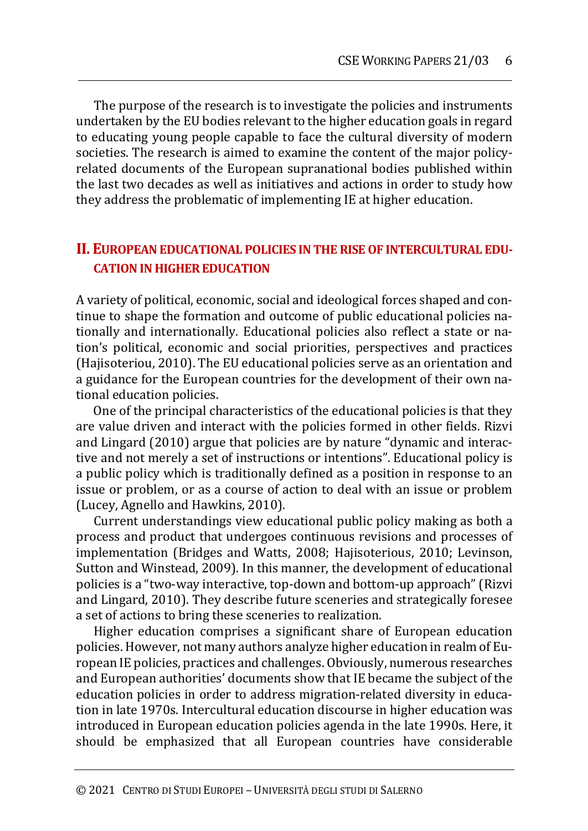The purpose of the research is to investigate the policies and instruments undertaken by the EU bodies relevant to the higher education goals in regard to educating young people capable to face the cultural diversity of modern societies. The research is aimed to examine the content of the major policyrelated documents of the European supranational bodies published within the last two decades as well as initiatives and actions in order to study how they address the problematic of implementing IE at higher education.

## **II. EUROPEAN EDUCATIONAL POLICIES IN THE RISE OF INTERCULTURAL EDU-CATION IN HIGHER EDUCATION**

A variety of political, economic, social and ideological forces shaped and continue to shape the formation and outcome of public educational policies nationally and internationally. Educational policies also reflect a state or nation's political, economic and social priorities, perspectives and practices (Hajisoteriou, 2010). The EU educational policies serve as an orientation and a guidance for the European countries for the development of their own national education policies.

One of the principal characteristics of the educational policies is that they are value driven and interact with the policies formed in other fields. Rizvi and Lingard (2010) argue that policies are by nature "dynamic and interactive and not merely a set of instructions or intentions". Educational policy is a public policy which is traditionally defined as a position in response to an issue or problem, or as a course of action to deal with an issue or problem (Lucey, Agnello and Hawkins, 2010).

Current understandings view educational public policy making as both a process and product that undergoes continuous revisions and processes of implementation (Bridges and Watts, 2008; Hajisoterious, 2010; Levinson, Sutton and Winstead, 2009). In this manner, the development of educational policies is a "two-way interactive, top-down and bottom-up approach" (Rizvi and Lingard, 2010). They describe future sceneries and strategically foresee a set of actions to bring these sceneries to realization.

Higher education comprises a significant share of European education policies. However, not many authors analyze higher education in realm of European IE policies, practices and challenges. Obviously, numerous researches and European authorities' documents show that IE became the subject of the education policies in order to address migration-related diversity in education in late 1970s. Intercultural education discourse in higher education was introduced in European education policies agenda in the late 1990s. Here, it should be emphasized that all European countries have considerable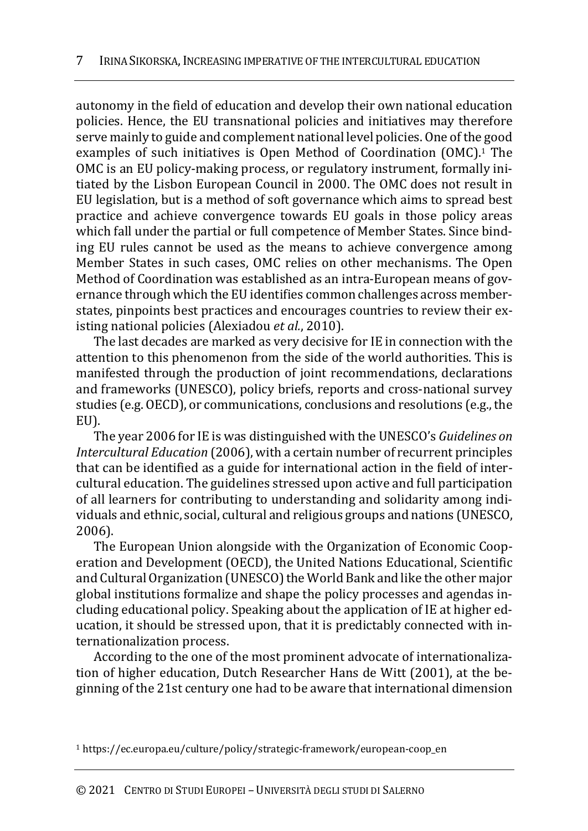autonomy in the field of education and develop their own national education policies. Hence, the EU transnational policies and initiatives may therefore serve mainly to guide and complement national level policies. One of the good examples of such initiatives is Open Method of Coordination (OMC).<sup>1</sup> The OMC is an EU policy-making process, or regulatory instrument, formally initiated by the Lisbon European Council in 2000. The OMC does not result in EU legislation, but is a method of soft governance which aims to spread best practice and achieve convergence towards EU goals in those policy areas which fall under the partial or full competence of Member States. Since binding EU rules cannot be used as the means to achieve convergence among Member States in such cases, OMC relies on other mechanisms. The Open Method of Coordination was established as an intra-European means of governance through which the EU identifies common challenges across memberstates, pinpoints best practices and encourages countries to review their existing national policies (Alexiadou *et al.*, 2010).

The last decades are marked as very decisive for IE in connection with the attention to this phenomenon from the side of the world authorities. This is manifested through the production of joint recommendations, declarations and frameworks (UNESCO), policy briefs, reports and cross-national survey studies (e.g. OECD), or communications, conclusions and resolutions (e.g., the EU).

The year 2006 for IE is was distinguished with the UNESCO's *Guidelines on Intercultural Education* (2006), with a certain number of recurrent principles that can be identified as a guide for international action in the field of intercultural education. The guidelines stressed upon active and full participation of all learners for contributing to understanding and solidarity among individuals and ethnic, social, cultural and religious groups and nations (UNESCO, 2006).

The European Union alongside with the Organization of Economic Cooperation and Development (OECD), the United Nations Educational, Scientific and Cultural Organization (UNESCO) the World Bank and like the other major global institutions formalize and shape the policy processes and agendas including educational policy. Speaking about the application of IE at higher education, it should be stressed upon, that it is predictably connected with internationalization process.

According to the one of the most prominent advocate of internationalization of higher education, Dutch Researcher Hans de Witt (2001), at the beginning of the 21st century one had to be aware that international dimension

<sup>1</sup> https://ec.europa.eu/culture/policy/strategic-framework/european-coop\_en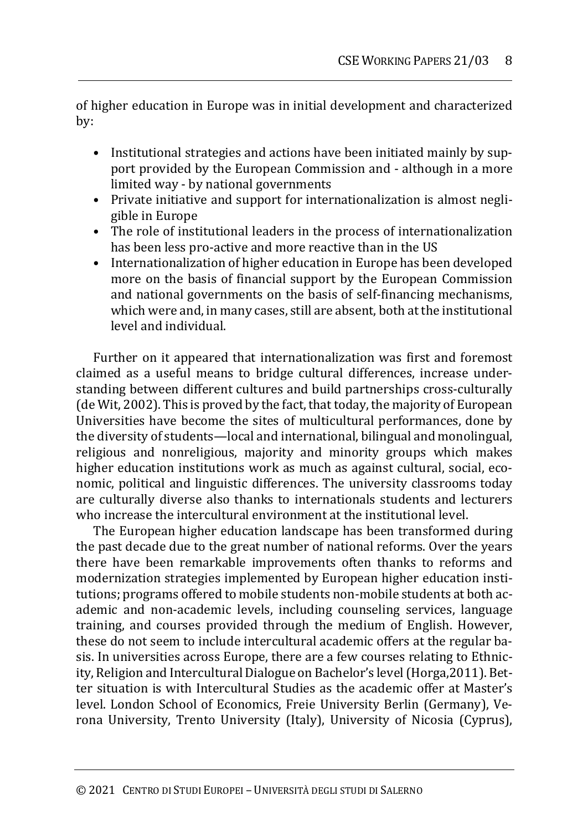of higher education in Europe was in initial development and characterized by:

- Institutional strategies and actions have been initiated mainly by support provided by the European Commission and - although in a more limited way - by national governments
- Private initiative and support for internationalization is almost negligible in Europe
- The role of institutional leaders in the process of internationalization has been less pro-active and more reactive than in the US
- Internationalization of higher education in Europe has been developed more on the basis of financial support by the European Commission and national governments on the basis of self-financing mechanisms, which were and, in many cases, still are absent, both at the institutional level and individual.

Further on it appeared that internationalization was first and foremost claimed as a useful means to bridge cultural differences, increase understanding between different cultures and build partnerships cross-culturally (de Wit, 2002). This is proved by the fact, that today, the majority of European Universities have become the sites of multicultural performances, done by the diversity of students—local and international, bilingual and monolingual, religious and nonreligious, majority and minority groups which makes higher education institutions work as much as against cultural, social, economic, political and linguistic differences. The university classrooms today are culturally diverse also thanks to internationals students and lecturers who increase the intercultural environment at the institutional level.

The European higher education landscape has been transformed during the past decade due to the great number of national reforms. Over the years there have been remarkable improvements often thanks to reforms and modernization strategies implemented by European higher education institutions; programs offered to mobile students non-mobile students at both academic and non-academic levels, including counseling services, language training, and courses provided through the medium of English. However, these do not seem to include intercultural academic offers at the regular basis. In universities across Europe, there are a few courses relating to Ethnicity, Religion and Intercultural Dialogue on Bachelor's level (Horga,2011). Better situation is with Intercultural Studies as the academic offer at Master's level. London School of Economics, Freie University Berlin (Germany), Verona University, Trento University (Italy), University of Nicosia (Cyprus),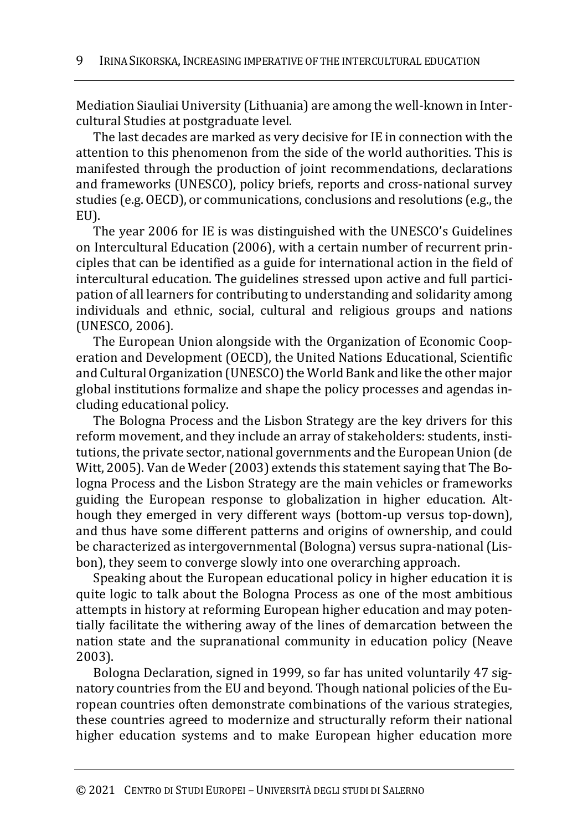Mediation Siauliai University (Lithuania) are among the well-known in Intercultural Studies at postgraduate level.

The last decades are marked as very decisive for IE in connection with the attention to this phenomenon from the side of the world authorities. This is manifested through the production of joint recommendations, declarations and frameworks (UNESCO), policy briefs, reports and cross-national survey studies (e.g. OECD), or communications, conclusions and resolutions (e.g., the EU).

The year 2006 for IE is was distinguished with the UNESCO's Guidelines on Intercultural Education (2006), with a certain number of recurrent principles that can be identified as a guide for international action in the field of intercultural education. The guidelines stressed upon active and full participation of all learners for contributing to understanding and solidarity among individuals and ethnic, social, cultural and religious groups and nations (UNESCO, 2006).

The European Union alongside with the Organization of Economic Cooperation and Development (OECD), the United Nations Educational, Scientific and Cultural Organization (UNESCO) the World Bank and like the other major global institutions formalize and shape the policy processes and agendas including educational policy.

The Bologna Process and the Lisbon Strategy are the key drivers for this reform movement, and they include an array of stakeholders: students, institutions, the private sector, national governments and the European Union (de Witt, 2005). Van de Weder (2003) extends this statement saying that The Bologna Process and the Lisbon Strategy are the main vehicles or frameworks guiding the European response to globalization in higher education. Although they emerged in very different ways (bottom-up versus top-down), and thus have some different patterns and origins of ownership, and could be characterized as intergovernmental (Bologna) versus supra-national (Lisbon), they seem to converge slowly into one overarching approach.

Speaking about the European educational policy in higher education it is quite logic to talk about the Bologna Process as one of the most ambitious attempts in history at reforming European higher education and may potentially facilitate the withering away of the lines of demarcation between the nation state and the supranational community in education policy (Neave 2003).

Bologna Declaration, signed in 1999, so far has united voluntarily 47 signatory countries from the EU and beyond. Though national policies of the European countries often demonstrate combinations of the various strategies, these countries agreed to modernize and structurally reform their national higher education systems and to make European higher education more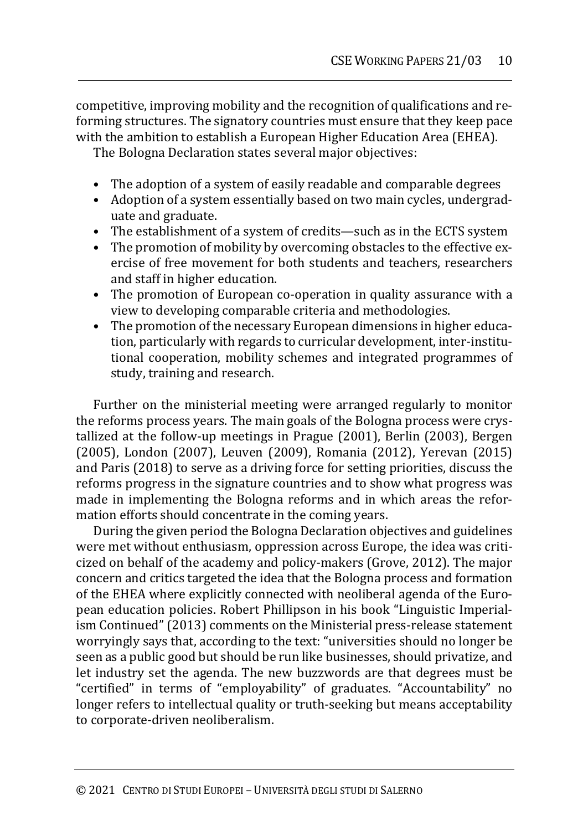competitive, improving mobility and the recognition of qualifications and reforming structures. The signatory countries must ensure that they keep pace with the ambition to establish a European Higher Education Area (EHEA).

The Bologna Declaration states several major objectives:

- The adoption of a system of easily readable and comparable degrees
- Adoption of a system essentially based on two main cycles, undergraduate and graduate.
- The establishment of a system of credits—such as in the ECTS system
- The promotion of mobility by overcoming obstacles to the effective exercise of free movement for both students and teachers, researchers and staff in higher education.
- The promotion of European co-operation in quality assurance with a view to developing comparable criteria and methodologies.
- The promotion of the necessary European dimensions in higher education, particularly with regards to curricular development, inter-institutional cooperation, mobility schemes and integrated programmes of study, training and research.

Further on the ministerial meeting were arranged regularly to monitor the reforms process years. The main goals of the Bologna process were crystallized at the follow-up meetings in Prague (2001), Berlin (2003), Bergen (2005), London (2007), Leuven (2009), Romania (2012), Yerevan (2015) and Paris (2018) to serve as a driving force for setting priorities, discuss the reforms progress in the signature countries and to show what progress was made in implementing the Bologna reforms and in which areas the reformation efforts should concentrate in the coming years.

During the given period the Bologna Declaration objectives and guidelines were met without enthusiasm, oppression across Europe, the idea was criticized on behalf of the academy and policy-makers (Grove, 2012). The major concern and critics targeted the idea that the Bologna process and formation of the EHEA where explicitly connected with neoliberal agenda of the European education policies. Robert Phillipson in his book "Linguistic Imperialism Continued" (2013) comments on the Ministerial press-release statement worryingly says that, according to the text: "universities should no longer be seen as a public good but should be run like businesses, should privatize, and let industry set the agenda. The new buzzwords are that degrees must be "certified" in terms of "employability" of graduates. "Accountability" no longer refers to intellectual quality or truth-seeking but means acceptability to corporate-driven neoliberalism.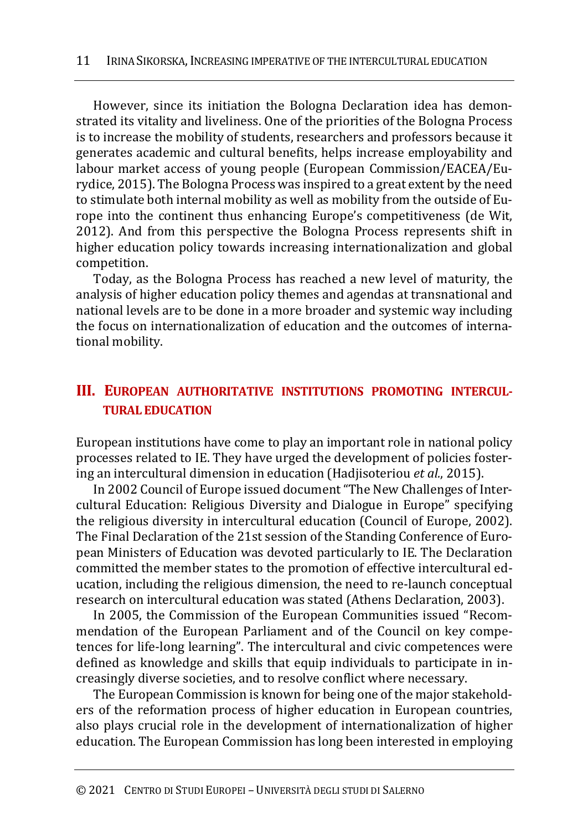However, since its initiation the Bologna Declaration idea has demonstrated its vitality and liveliness. One of the priorities of the Bologna Process is to increase the mobility of students, researchers and professors because it generates academic and cultural benefits, helps increase employability and labour market access of young people (European Commission/EACEA/Eurydice, 2015). The Bologna Process was inspired to a great extent by the need to stimulate both internal mobility as well as mobility from the outside of Europe into the continent thus enhancing Europe's competitiveness (de Wit, 2012). And from this perspective the Bologna Process represents shift in higher education policy towards increasing internationalization and global competition.

Today, as the Bologna Process has reached a new level of maturity, the analysis of higher education policy themes and agendas at transnational and national levels are to be done in a more broader and systemic way including the focus on internationalization of education and the outcomes of international mobility.

## **III. EUROPEAN AUTHORITATIVE INSTITUTIONS PROMOTING INTERCUL-TURAL EDUCATION**

European institutions have come to play an important role in national policy processes related to IE. They have urged the development of policies fostering an intercultural dimension in education (Hadjisoteriou *et al.*, 2015).

In 2002 Council of Europe issued document "The New Challenges of Intercultural Education: Religious Diversity and Dialogue in Europe" specifying the religious diversity in intercultural education (Council of Europe, 2002). The Final Declaration of the 21st session of the Standing Conference of European Ministers of Education was devoted particularly to IE. The Declaration committed the member states to the promotion of effective intercultural education, including the religious dimension, the need to re-launch conceptual research on intercultural education was stated (Athens Declaration, 2003).

In 2005, the Commission of the European Communities issued "Recommendation of the European Parliament and of the Council on key competences for life-long learning". The intercultural and civic competences were defined as knowledge and skills that equip individuals to participate in increasingly diverse societies, and to resolve conflict where necessary.

The European Commission is known for being one of the major stakeholders of the reformation process of higher education in European countries, also plays crucial role in the development of internationalization of higher education. The European Commission has long been interested in employing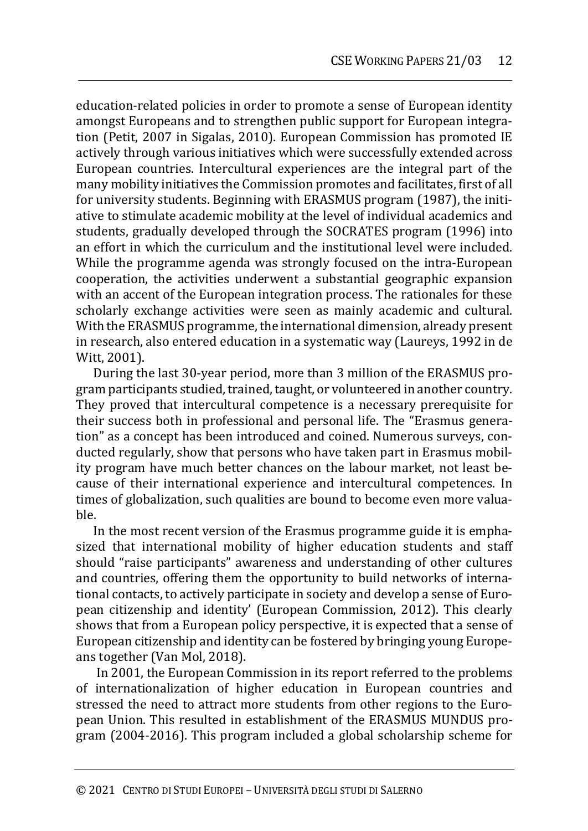education-related policies in order to promote a sense of European identity amongst Europeans and to strengthen public support for European integration (Petit, 2007 in Sigalas, 2010). European Commission has promoted IE actively through various initiatives which were successfully extended across European countries. Intercultural experiences are the integral part of the many mobility initiatives the Commission promotes and facilitates, first of all for university students. Beginning with ERASMUS program (1987), the initiative to stimulate academic mobility at the level of individual academics and students, gradually developed through the SOCRATES program (1996) into an effort in which the curriculum and the institutional level were included. While the programme agenda was strongly focused on the intra-European cooperation, the activities underwent a substantial geographic expansion with an accent of the European integration process. The rationales for these scholarly exchange activities were seen as mainly academic and cultural. With the ERASMUS programme, the international dimension, already present in research, also entered education in a systematic way (Laureys, 1992 in de Witt, 2001).

During the last 30-year period, more than 3 million of the ERASMUS program participants studied, trained, taught, or volunteered in another country. They proved that intercultural competence is a necessary prerequisite for their success both in professional and personal life. The "Erasmus generation" as a concept has been introduced and coined. Numerous surveys, conducted regularly, show that persons who have taken part in Erasmus mobility program have much better chances on the labour market, not least because of their international experience and intercultural competences. In times of globalization, such qualities are bound to become even more valuable.

In the most recent version of the Erasmus programme guide it is emphasized that international mobility of higher education students and staff should "raise participants" awareness and understanding of other cultures and countries, offering them the opportunity to build networks of international contacts, to actively participate in society and develop a sense of European citizenship and identity' (European Commission, 2012). This clearly shows that from a European policy perspective, it is expected that a sense of European citizenship and identity can be fostered by bringing young Europeans together (Van Mol, 2018).

In 2001, the European Commission in its report referred to the problems of internationalization of higher education in European countries and stressed the need to attract more students from other regions to the European Union. This resulted in establishment of the ERASMUS MUNDUS program (2004-2016). This program included a global scholarship scheme for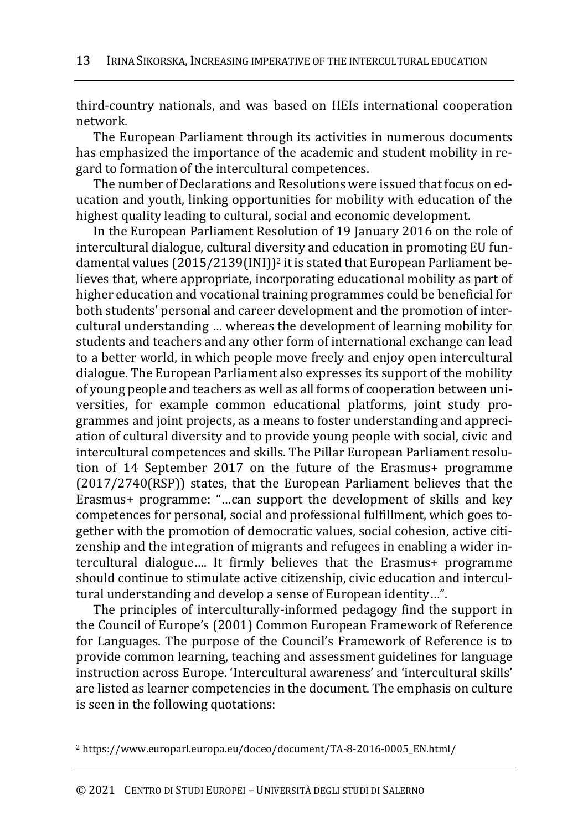third-country nationals, and was based on HEIs international cooperation network.

The European Parliament through its activities in numerous documents has emphasized the importance of the academic and student mobility in regard to formation of the intercultural competences.

The number of Declarations and Resolutions were issued that focus on education and youth, linking opportunities for mobility with education of the highest quality leading to cultural, social and economic development.

In the European Parliament Resolution of 19 January 2016 on the role of intercultural dialogue, cultural diversity and education in promoting EU fundamental values (2015/2139(INI))<sup>2</sup> it is stated that European Parliament believes that, where appropriate, incorporating educational mobility as part of higher education and vocational training programmes could be beneficial for both students' personal and career development and the promotion of intercultural understanding … whereas the development of learning mobility for students and teachers and any other form of international exchange can lead to a better world, in which people move freely and enjoy open intercultural dialogue. The European Parliament also expresses its support of the mobility of young people and teachers as well as all forms of cooperation between universities, for example common educational platforms, joint study programmes and joint projects, as a means to foster understanding and appreciation of cultural diversity and to provide young people with social, civic and intercultural competences and skills. The Pillar European Parliament resolution of 14 September 2017 on the future of the Erasmus+ programme (2017/2740(RSP)) states, that the European Parliament believes that the Erasmus+ programme: "…can support the development of skills and key competences for personal, social and professional fulfillment, which goes together with the promotion of democratic values, social cohesion, active citizenship and the integration of migrants and refugees in enabling a wider intercultural dialogue…. It firmly believes that the Erasmus+ programme should continue to stimulate active citizenship, civic education and intercultural understanding and develop a sense of European identity…".

The principles of interculturally-informed pedagogy find the support in the Council of Europe's (2001) Common European Framework of Reference for Languages. The purpose of the Council's Framework of Reference is to provide common learning, teaching and assessment guidelines for language instruction across Europe. 'Intercultural awareness' and 'intercultural skills' are listed as learner competencies in the document. The emphasis on culture is seen in the following quotations:

<sup>2</sup> https://www.europarl.europa.eu/doceo/document/TA-8-2016-0005\_EN.html/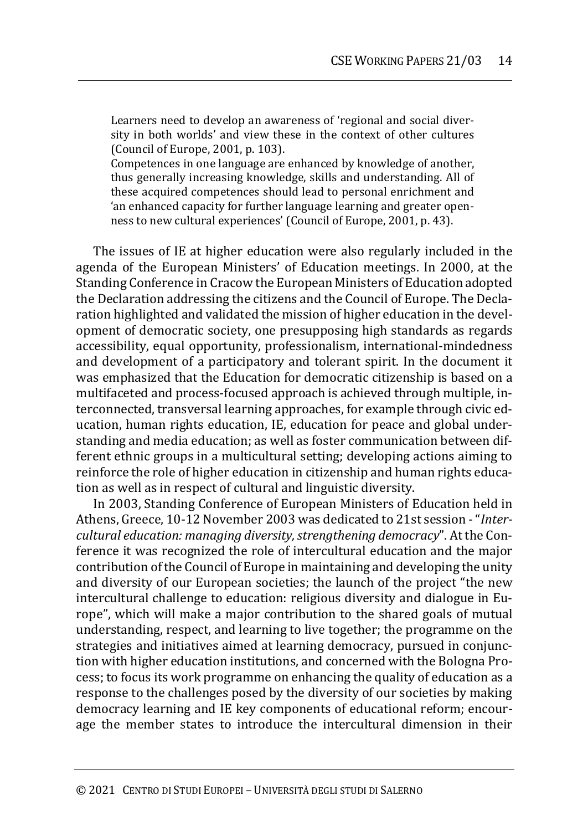Learners need to develop an awareness of 'regional and social diversity in both worlds' and view these in the context of other cultures (Council of Europe, 2001, p. 103).

Competences in one language are enhanced by knowledge of another, thus generally increasing knowledge, skills and understanding. All of these acquired competences should lead to personal enrichment and 'an enhanced capacity for further language learning and greater openness to new cultural experiences' (Council of Europe, 2001, p. 43).

The issues of IE at higher education were also regularly included in the agenda of the European Ministers' of Education meetings. In 2000, at the Standing Conference in Cracow the European Ministers of Education adopted the Declaration addressing the citizens and the Council of Europe. The Declaration highlighted and validated the mission of higher education in the development of democratic society, one presupposing high standards as regards accessibility, equal opportunity, professionalism, international-mindedness and development of a participatory and tolerant spirit. In the document it was emphasized that the Education for democratic citizenship is based on a multifaceted and process-focused approach is achieved through multiple, interconnected, transversal learning approaches, for example through civic education, human rights education, IE, education for peace and global understanding and media education; as well as foster communication between different ethnic groups in a multicultural setting; developing actions aiming to reinforce the role of higher education in citizenship and human rights education as well as in respect of cultural and linguistic diversity.

In 2003, Standing Conference of European Ministers of Education held in Athens, Greece, 10‐12 November 2003 was dedicated to 21st session ‐ "*Intercultural education: managing diversity, strengthening democracy*". At the Conference it was recognized the role of intercultural education and the major contribution of the Council of Europe in maintaining and developing the unity and diversity of our European societies; the launch of the project "the new intercultural challenge to education: religious diversity and dialogue in Europe", which will make a major contribution to the shared goals of mutual understanding, respect, and learning to live together; the programme on the strategies and initiatives aimed at learning democracy, pursued in conjunction with higher education institutions, and concerned with the Bologna Process; to focus its work programme on enhancing the quality of education as a response to the challenges posed by the diversity of our societies by making democracy learning and IE key components of educational reform; encourage the member states to introduce the intercultural dimension in their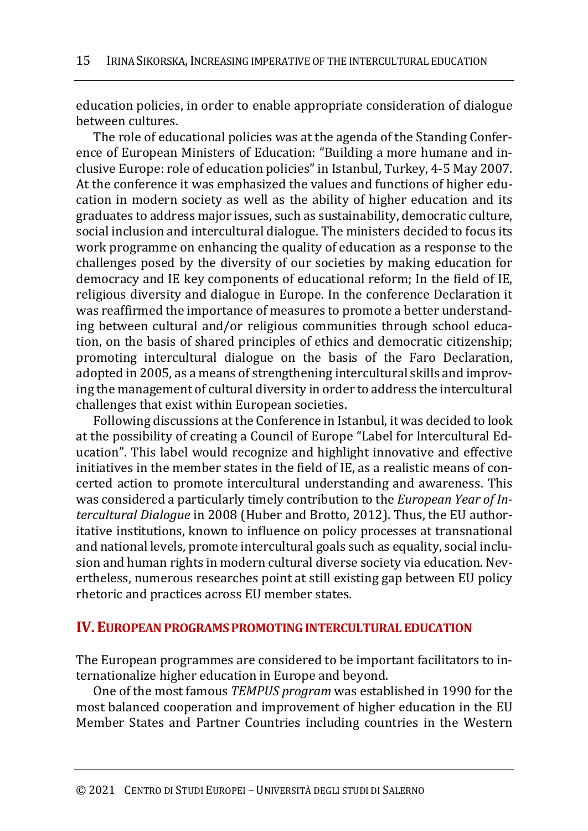education policies, in order to enable appropriate consideration of dialogue between cultures.

The role of educational policies was at the agenda of the Standing Conference of European Ministers of Education: "Building a more humane and inclusive Europe: role of education policies" in Istanbul, Turkey, 4‐5 May 2007. At the conference it was emphasized the values and functions of higher education in modern society as well as the ability of higher education and its graduates to address major issues, such as sustainability, democratic culture, social inclusion and intercultural dialogue. The ministers decided to focus its work programme on enhancing the quality of education as a response to the challenges posed by the diversity of our societies by making education for democracy and IE key components of educational reform; In the field of IE, religious diversity and dialogue in Europe. In the conference Declaration it was reaffirmed the importance of measures to promote a better understanding between cultural and/or religious communities through school education, on the basis of shared principles of ethics and democratic citizenship; promoting intercultural dialogue on the basis of the Faro Declaration, adopted in 2005, as a means of strengthening intercultural skills and improving the management of cultural diversity in order to address the intercultural challenges that exist within European societies.

Following discussions at the Conference in Istanbul, it was decided to look at the possibility of creating a Council of Europe "Label for Intercultural Education". This label would recognize and highlight innovative and effective initiatives in the member states in the field of IE, as a realistic means of concerted action to promote intercultural understanding and awareness. This was considered a particularly timely contribution to the *European Year of Intercultural Dialogue* in 2008 (Huber and Brotto, 2012). Thus, the EU authoritative institutions, known to influence on policy processes at transnational and national levels, promote intercultural goals such as equality, social inclusion and human rights in modern cultural diverse society via education. Nevertheless, numerous researches point at still existing gap between EU policy rhetoric and practices across EU member states.

### **IV.EUROPEAN PROGRAMS PROMOTING INTERCULTURAL EDUCATION**

The European programmes are considered to be important facilitators to internationalize higher education in Europe and beyond.

One of the most famous *TEMPUS program* was established in 1990 for the most balanced cooperation and improvement of higher education in the EU Member States and Partner Countries including countries in the Western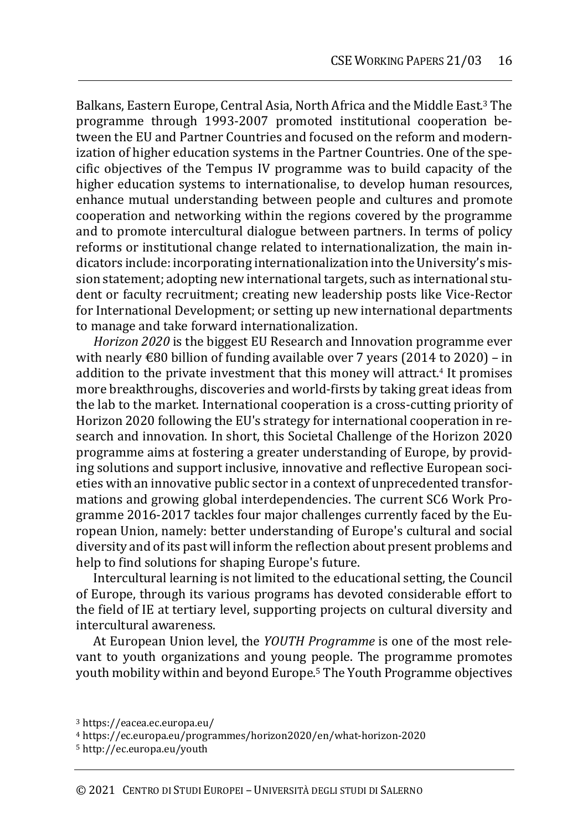Balkans, Eastern Europe, Central Asia, North Africa and the Middle East.<sup>3</sup> The programme through 1993-2007 promoted institutional cooperation between the EU and Partner Countries and focused on the reform and modernization of higher education systems in the Partner Countries. One of the specific objectives of the Tempus IV programme was to build capacity of the higher education systems to internationalise, to develop human resources, enhance mutual understanding between people and cultures and promote cooperation and networking within the regions covered by the programme and to promote intercultural dialogue between partners. In terms of policy reforms or institutional change related to internationalization, the main indicators include: incorporating internationalization into the University's mission statement; adopting new international targets, such as international student or faculty recruitment; creating new leadership posts like Vice-Rector for International Development; or setting up new international departments to manage and take forward internationalization.

*Horizon 2020* is the biggest EU Research and Innovation programme ever with nearly  $\epsilon$ 80 billion of funding available over 7 years (2014 to 2020) – in addition to the private investment that this money will attract.<sup>4</sup> It promises more breakthroughs, discoveries and world-firsts by taking great ideas from the lab to the market. International cooperation is a cross-cutting priority of Horizon 2020 following the EU's strategy for international cooperation in research and innovation. In short, this Societal Challenge of the Horizon 2020 programme aims at fostering a greater understanding of Europe, by providing solutions and support inclusive, innovative and reflective European societies with an innovative public sector in a context of unprecedented transformations and growing global interdependencies. The current SC6 Work Programme 2016-2017 tackles four major challenges currently faced by the European Union, namely: better understanding of Europe's cultural and social diversity and of its past will inform the reflection about present problems and help to find solutions for shaping Europe's future.

Intercultural learning is not limited to the educational setting, the Council of Europe, through its various programs has devoted considerable effort to the field of IE at tertiary level, supporting projects on cultural diversity and intercultural awareness.

At European Union level, the *YOUTH Programme* is one of the most relevant to youth organizations and young people. The programme promotes youth mobility within and beyond Europe.<sup>5</sup> The Youth Programme objectives

<sup>3</sup> https://eacea.ec.europa.eu/

<sup>4</sup> https://ec.europa.eu/programmes/horizon2020/en/what-horizon-2020

<sup>5</sup> http://ec.europa.eu/youth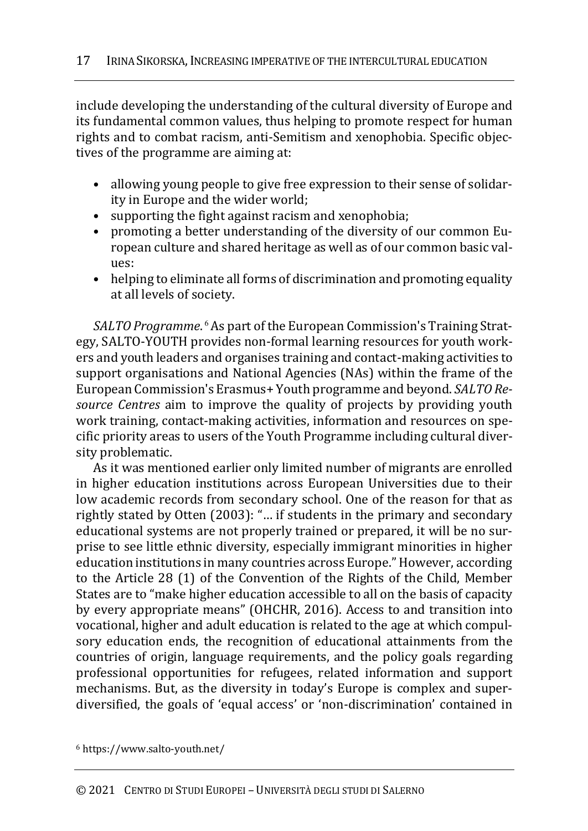include developing the understanding of the cultural diversity of Europe and its fundamental common values, thus helping to promote respect for human rights and to combat racism, anti-Semitism and xenophobia. Specific objectives of the programme are aiming at:

- allowing young people to give free expression to their sense of solidarity in Europe and the wider world;
- supporting the fight against racism and xenophobia;
- promoting a better understanding of the diversity of our common European culture and shared heritage as well as of our common basic values:
- helping to eliminate all forms of discrimination and promoting equality at all levels of society.

*SALTO Programme*. <sup>6</sup> As part of the European Commission's Training Strategy, SALTO-YOUTH provides non-formal learning resources for youth workers and youth leaders and organises training and contact-making activities to support organisations and National Agencies (NAs) within the frame of the European Commission's Erasmus+ Youth programme and beyond. *SALTO Resource Centres* aim to improve the quality of projects by providing youth work training, contact-making activities, information and resources on specific priority areas to users of the Youth Programme including cultural diversity problematic.

As it was mentioned earlier only limited number of migrants are enrolled in higher education institutions across European Universities due to their low academic records from secondary school. One of the reason for that as rightly stated by Otten (2003): "… if students in the primary and secondary educational systems are not properly trained or prepared, it will be no surprise to see little ethnic diversity, especially immigrant minorities in higher education institutions in many countries across Europe." However, according to the Article 28 (1) of the Convention of the Rights of the Child, Member States are to "make higher education accessible to all on the basis of capacity by every appropriate means" (OHCHR, 2016). Access to and transition into vocational, higher and adult education is related to the age at which compulsory education ends, the recognition of educational attainments from the countries of origin, language requirements, and the policy goals regarding professional opportunities for refugees, related information and support mechanisms. But, as the diversity in today's Europe is complex and superdiversified, the goals of 'equal access' or 'non-discrimination' contained in

<sup>6</sup> https://www.salto-youth.net/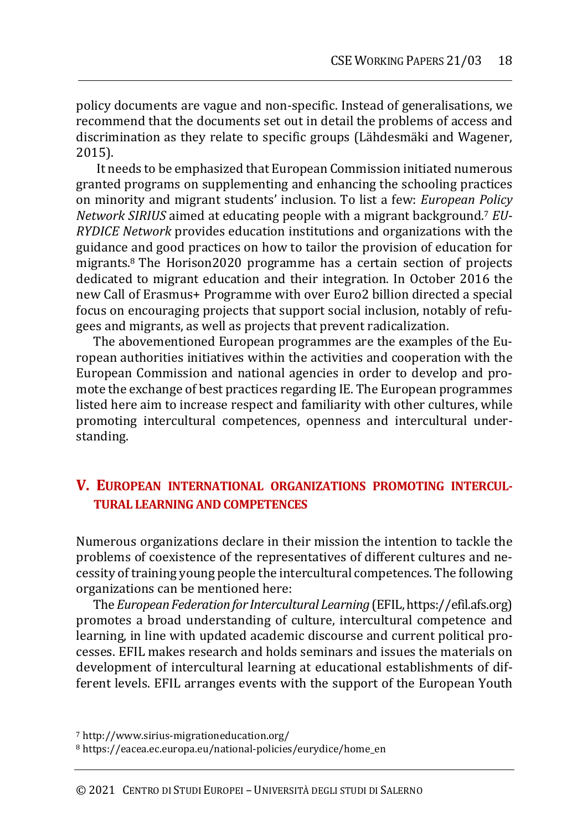policy documents are vague and non-specific. Instead of generalisations, we recommend that the documents set out in detail the problems of access and discrimination as they relate to specific groups (Lähdesmäki and Wagener, 2015).

It needs to be emphasized that European Commission initiated numerous granted programs on supplementing and enhancing the schooling practices on minority and migrant students' inclusion. To list a few: *European Policy Network SIRIUS* aimed at educating people with a migrant background.<sup>7</sup> *EU-RYDICE Network* provides education institutions and organizations with the guidance and good practices on how to tailor the provision of education for migrants.<sup>8</sup> The Horison2020 programme has a certain section of projects dedicated to migrant education and their integration. In October 2016 the new Call of Erasmus+ Programme with over Euro2 billion directed a special focus on encouraging projects that support social inclusion, notably of refugees and migrants, as well as projects that prevent radicalization.

The abovementioned European programmes are the examples of the European authorities initiatives within the activities and cooperation with the European Commission and national agencies in order to develop and promote the exchange of best practices regarding IE. The European programmes listed here aim to increase respect and familiarity with other cultures, while promoting intercultural competences, openness and intercultural understanding.

## **V. EUROPEAN INTERNATIONAL ORGANIZATIONS PROMOTING INTERCUL-TURAL LEARNING AND COMPETENCES**

Numerous organizations declare in their mission the intention to tackle the problems of coexistence of the representatives of different cultures and necessity of training young people the intercultural competences. The following organizations can be mentioned here:

The*European Federation for Intercultural Learning* (EFIL, https://efil.afs.org) promotes a broad understanding of culture, intercultural competence and learning, in line with updated academic discourse and current political processes. EFIL makes research and holds seminars and issues the materials on development of intercultural learning at educational establishments of different levels. EFIL arranges events with the support of the European Youth

<sup>7</sup> http://www.sirius-migrationeducation.org/

<sup>8</sup> https://eacea.ec.europa.eu/national-policies/eurydice/home\_en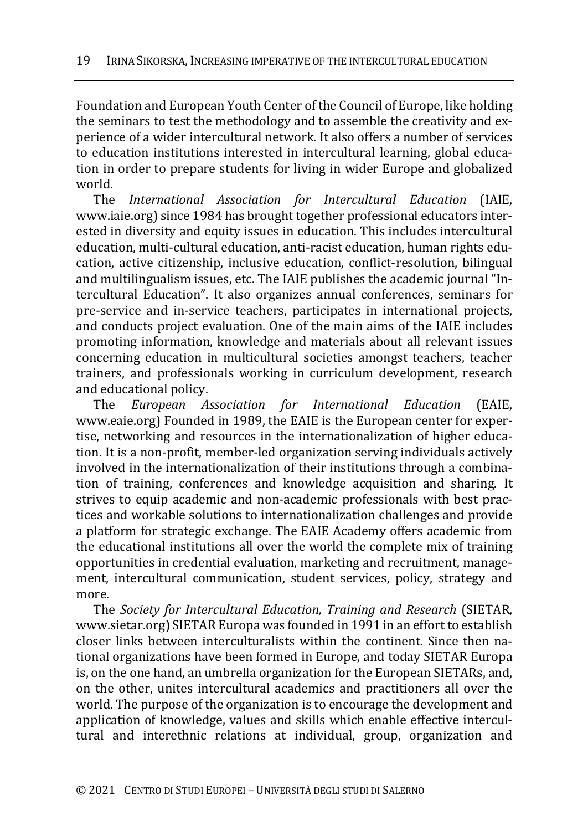Foundation and European Youth Center of the Council of Europe, like holding the seminars to test the methodology and to assemble the creativity and experience of a wider intercultural network. It also offers a number of services to education institutions interested in intercultural learning, global education in order to prepare students for living in wider Europe and globalized world.

The *International Association for Intercultural Education* (IAIE, www.iaie.org) since 1984 has brought together professional educators interested in diversity and equity issues in education. This includes intercultural education, multi-cultural education, anti-racist education, human rights education, active citizenship, inclusive education, conflict-resolution, bilingual and multilingualism issues, etc. The IAIE publishes the academic journal "Intercultural Education". It also organizes annual conferences, seminars for pre-service and in-service teachers, participates in international projects, and conducts project evaluation. One of the main aims of the IAIE includes promoting information, knowledge and materials about all relevant issues concerning education in multicultural societies amongst teachers, teacher trainers, and professionals working in curriculum development, research and educational policy.

The *European Association for International Education* (EAIE, www.eaie.org) Founded in 1989, the EAIE is the European center for expertise, networking and resources in the internationalization of higher education. It is a non-profit, member-led organization serving individuals actively involved in the internationalization of their institutions through a combination of training, conferences and knowledge acquisition and sharing. It strives to equip academic and non-academic professionals with best practices and workable solutions to internationalization challenges and provide a platform for strategic exchange. The EAIE Academy offers academic from the educational institutions all over the world the complete mix of training opportunities in credential evaluation, marketing and recruitment, management, intercultural communication, student services, policy, strategy and more.

The *Society for Intercultural Education, Training and Research* (SIETAR, www.sietar.org) SIETAR Europa was founded in 1991 in an effort to establish closer links between interculturalists within the continent. Since then national organizations have been formed in Europe, and today SIETAR Europa is, on the one hand, an umbrella organization for the European SIETARs, and, on the other, unites intercultural academics and practitioners all over the world. The purpose of the organization is to encourage the development and application of knowledge, values and skills which enable effective intercultural and interethnic relations at individual, group, organization and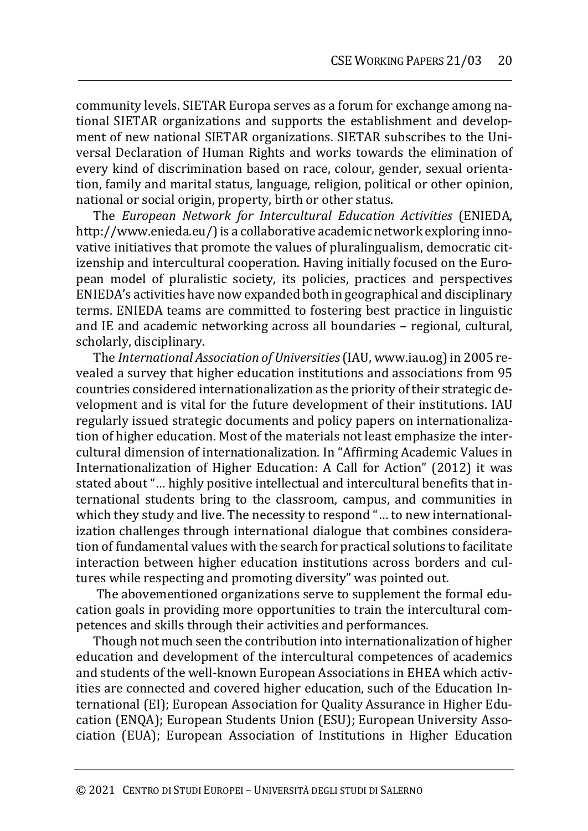community levels. SIETAR Europa serves as a forum for exchange among national SIETAR organizations and supports the establishment and development of new national SIETAR organizations. SIETAR subscribes to the Universal Declaration of Human Rights and works towards the elimination of every kind of discrimination based on race, colour, gender, sexual orientation, family and marital status, language, religion, political or other opinion, national or social origin, property, birth or other status.

The *European Network for Intercultural Education Activities* (ENIEDA, http://www.enieda.eu/) is a collaborative academic network exploring innovative initiatives that promote the values of pluralingualism, democratic citizenship and intercultural cooperation. Having initially focused on the European model of pluralistic society, its policies, practices and perspectives ENIEDA's activities have now expanded both in geographical and disciplinary terms. ENIEDA teams are committed to fostering best practice in linguistic and IE and academic networking across all boundaries – regional, cultural, scholarly, disciplinary.

The *International Association of Universities*(IAU, www.iau.og) in 2005 revealed a survey that higher education institutions and associations from 95 countries considered internationalization as the priority of their strategic development and is vital for the future development of their institutions. IAU regularly issued strategic documents and policy papers on internationalization of higher education. Most of the materials not least emphasize the intercultural dimension of internationalization. In "Affirming Academic Values in Internationalization of Higher Education: A Call for Action" (2012) it was stated about "… highly positive intellectual and intercultural benefits that international students bring to the classroom, campus, and communities in which they study and live. The necessity to respond "… to new internationalization challenges through international dialogue that combines consideration of fundamental values with the search for practical solutions to facilitate interaction between higher education institutions across borders and cultures while respecting and promoting diversity" was pointed out.

The abovementioned organizations serve to supplement the formal education goals in providing more opportunities to train the intercultural competences and skills through their activities and performances.

Though not much seen the contribution into internationalization of higher education and development of the intercultural competences of academics and students of the well-known European Associations in EHEA which activities are connected and covered higher education, such of the Education International (EI); European Association for Quality Assurance in Higher Education (ENQA); European Students Union (ESU); European University Association (EUA); European Association of Institutions in Higher Education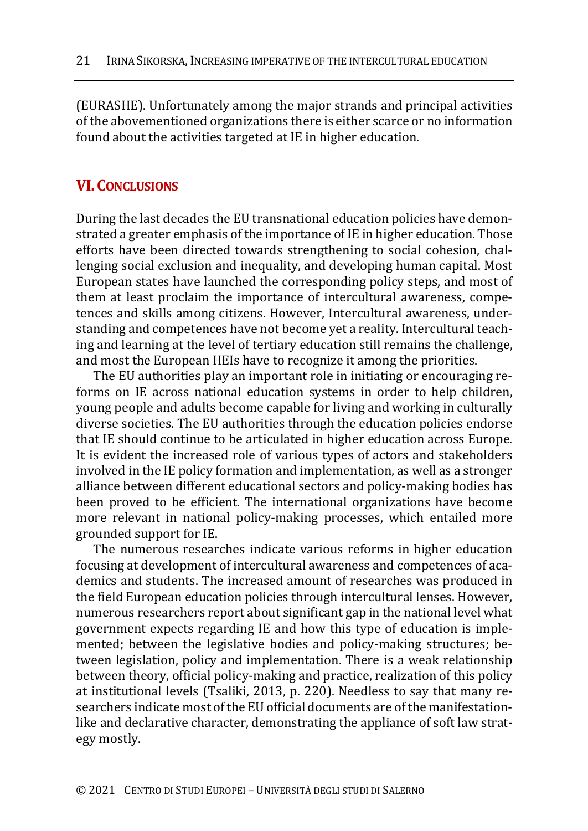(EURASHE). Unfortunately among the major strands and principal activities of the abovementioned organizations there is either scarce or no information found about the activities targeted at IE in higher education.

## **VI.CONCLUSIONS**

During the last decades the EU transnational education policies have demonstrated a greater emphasis of the importance of IE in higher education. Those efforts have been directed towards strengthening to social cohesion, challenging social exclusion and inequality, and developing human capital. Most European states have launched the corresponding policy steps, and most of them at least proclaim the importance of intercultural awareness, competences and skills among citizens. However, Intercultural awareness, understanding and competences have not become yet a reality. Intercultural teaching and learning at the level of tertiary education still remains the challenge, and most the European HEIs have to recognize it among the priorities.

The EU authorities play an important role in initiating or encouraging reforms on IE across national education systems in order to help children, young people and adults become capable for living and working in culturally diverse societies. The EU authorities through the education policies endorse that IE should continue to be articulated in higher education across Europe. It is evident the increased role of various types of actors and stakeholders involved in the IE policy formation and implementation, as well as a stronger alliance between different educational sectors and policy-making bodies has been proved to be efficient. The international organizations have become more relevant in national policy-making processes, which entailed more grounded support for IE.

The numerous researches indicate various reforms in higher education focusing at development of intercultural awareness and competences of academics and students. The increased amount of researches was produced in the field European education policies through intercultural lenses. However, numerous researchers report about significant gap in the national level what government expects regarding IE and how this type of education is implemented; between the legislative bodies and policy-making structures; between legislation, policy and implementation. There is a weak relationship between theory, official policy-making and practice, realization of this policy at institutional levels (Tsaliki, 2013, p. 220). Needless to say that many researchers indicate most of the EU official documents are of the manifestationlike and declarative character, demonstrating the appliance of soft law strategy mostly.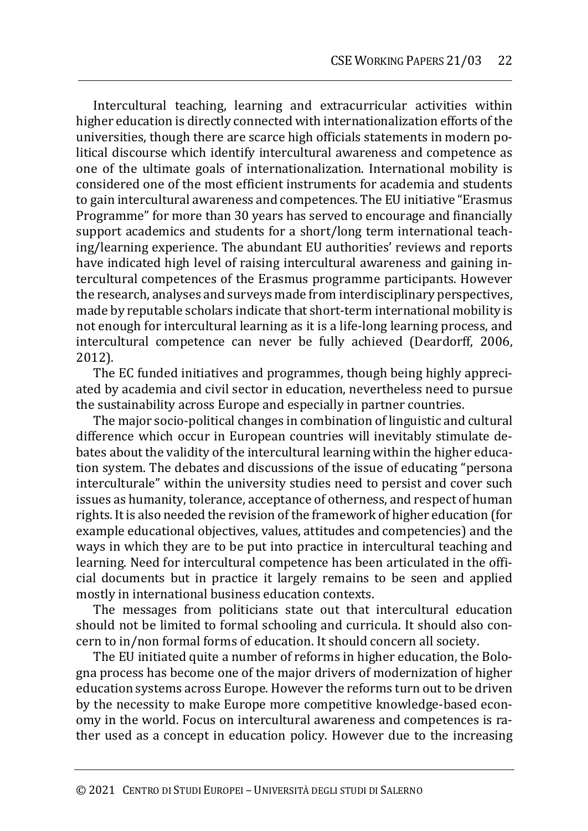Intercultural teaching, learning and extracurricular activities within higher education is directly connected with internationalization efforts of the universities, though there are scarce high officials statements in modern political discourse which identify intercultural awareness and competence as one of the ultimate goals of internationalization. International mobility is considered one of the most efficient instruments for academia and students to gain intercultural awareness and competences. The EU initiative "Erasmus Programme" for more than 30 years has served to encourage and financially support academics and students for a short/long term international teaching/learning experience. The abundant EU authorities' reviews and reports have indicated high level of raising intercultural awareness and gaining intercultural competences of the Erasmus programme participants. However the research, analyses and surveys made from interdisciplinary perspectives, made by reputable scholars indicate that short-term international mobility is not enough for intercultural learning as it is a life-long learning process, and intercultural competence can never be fully achieved (Deardorff, 2006, 2012).

The EC funded initiatives and programmes, though being highly appreciated by academia and civil sector in education, nevertheless need to pursue the sustainability across Europe and especially in partner countries.

The major socio-political changes in combination of linguistic and cultural difference which occur in European countries will inevitably stimulate debates about the validity of the intercultural learning within the higher education system. The debates and discussions of the issue of educating "persona interculturale" within the university studies need to persist and cover such issues as humanity, tolerance, acceptance of otherness, and respect of human rights. It is also needed the revision of the framework of higher education (for example educational objectives, values, attitudes and competencies) and the ways in which they are to be put into practice in intercultural teaching and learning. Need for intercultural competence has been articulated in the official documents but in practice it largely remains to be seen and applied mostly in international business education contexts.

The messages from politicians state out that intercultural education should not be limited to formal schooling and curricula. It should also concern to in/non formal forms of education. It should concern all society.

The EU initiated quite a number of reforms in higher education, the Bologna process has become one of the major drivers of modernization of higher education systems across Europe. However the reforms turn out to be driven by the necessity to make Europe more competitive knowledge-based economy in the world. Focus on intercultural awareness and competences is rather used as a concept in education policy. However due to the increasing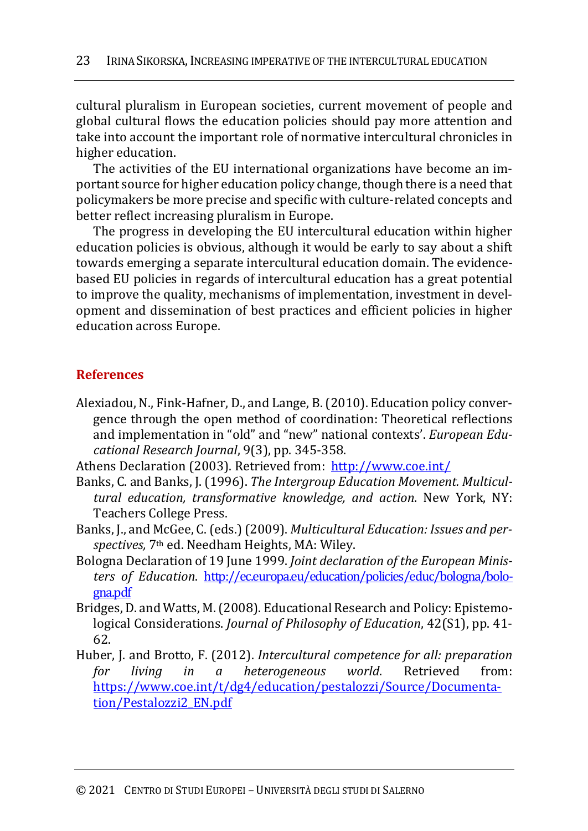cultural pluralism in European societies, current movement of people and global cultural flows the education policies should pay more attention and take into account the important role of normative intercultural chronicles in higher education.

The activities of the EU international organizations have become an important source for higher education policy change, though there is a need that policymakers be more precise and specific with culture-related concepts and better reflect increasing pluralism in Europe.

The progress in developing the EU intercultural education within higher education policies is obvious, although it would be early to say about a shift towards emerging a separate intercultural education domain. The evidencebased EU policies in regards of intercultural education has a great potential to improve the quality, mechanisms of implementation, investment in development and dissemination of best practices and efficient policies in higher education across Europe.

### **References**

Alexiadou, N., Fink-Hafner, D., and Lange, B. (2010). Education policy convergence through the open method of coordination: Theoretical reflections and implementation in "old" and "new" national contexts'. *European Educational Research Journal*, 9(3), pp. 345-358.

Athens Declaration (2003). Retrieved from: http://www.coe.int/

- Banks, C. and Banks, J. (1996). *The Intergroup Education Movement. Multicultural education, transformative knowledge, and action*. New York, NY: Teachers College Press.
- Banks, J., and McGee, C. (eds.) (2009). *Multicultural Education: Issues and perspectives,* 7th ed. Needham Heights, MA: Wiley.
- Bologna Declaration of 19 June 1999. *Joint declaration of the European Ministers of Education*. http://ec.europa.eu/education/policies/educ/bologna/bologna.pdf
- Bridges, D. and Watts, M. (2008). Educational Research and Policy: Epistemological Considerations. *Journal of Philosophy of Education*, 42(S1), pp. 41- 62.
- Huber, J. and Brotto, F. (2012). *Intercultural competence for all: preparation for living in a heterogeneous world*. Retrieved from: https://www.coe.int/t/dg4/education/pestalozzi/Source/Documentation/Pestalozzi2\_EN.pdf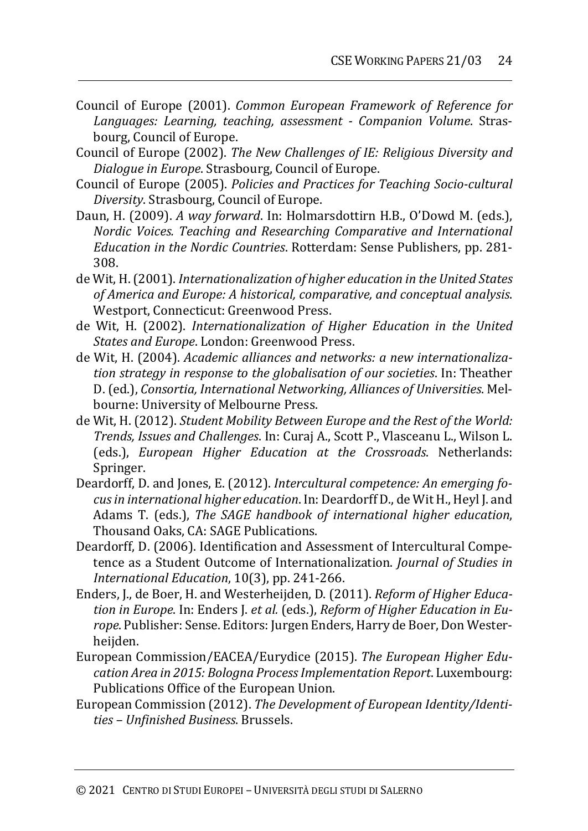- Council of Europe (2001). *Common European Framework of Reference for Languages: Learning, teaching, assessment - Companion Volume*. Strasbourg, Council of Europe.
- Council of Europe (2002). *The New Challenges of IE: Religious Diversity and Dialogue in Europe*. Strasbourg, Council of Europe.
- Council of Europe (2005). *Policies and Practices for Teaching Socio-cultural Diversity*. Strasbourg, Council of Europe.
- Daun, H. (2009). *A way forward*. In: Holmarsdottirn H.B., O'Dowd M. (eds.), *Nordic Voices. Teaching and Researching Comparative and International Education in the Nordic Countries*. Rotterdam: Sense Publishers, pp. 281- 308.
- de Wit, H. (2001). *Internationalization of higher education in the United States of America and Europe: A historical, comparative, and conceptual analysis*. Westport, Connecticut: Greenwood Press.
- de Wit, H. (2002). *Internationalization of Higher Education in the United States and Europe*. London: Greenwood Press.
- de Wit, H. (2004). *Academic alliances and networks: a new internationalization strategy in response to the globalisation of our societies*. In: Theather D. (ed.), *Consortia, International Networking, Alliances of Universities*. Melbourne: University of Melbourne Press.
- de Wit, H. (2012). *Student Mobility Between Europe and the Rest of the World: Trends, Issues and Challenges*. In: Curaj A., Scott P., Vlasceanu L., Wilson L. (eds.), *European Higher Education at the Crossroads*. Netherlands: Springer.
- Deardorff, D. and Jones, E. (2012). *Intercultural competence: An emerging focus in international higher education*. In: Deardorff D., de Wit H., Heyl J. and Adams T. (eds.), *The SAGE handbook of international higher education*, Thousand Oaks, CA: SAGE Publications.
- Deardorff, D. (2006). Identification and Assessment of Intercultural Competence as a Student Outcome of Internationalization. *Journal of Studies in International Education*, 10(3), pp. 241-266.
- Enders, J., de Boer, H. and Westerheijden, D. (2011). *Reform of Higher Education in Europe*. In: Enders J. *et al.* (eds.), *Reform of Higher Education in Europe*. Publisher: Sense. Editors: Jurgen Enders, Harry de Boer, Don Westerheijden.
- European Commission/EACEA/Eurydice (2015). *The European Higher Education Area in 2015: Bologna Process Implementation Report*. Luxembourg: Publications Office of the European Union.
- European Commission (2012). *The Development of European Identity/Identities – Unfinished Business*. Brussels.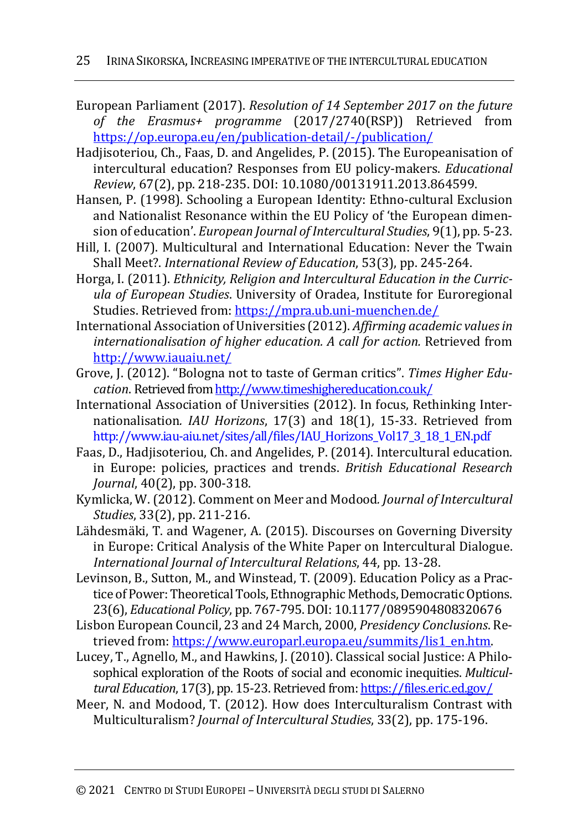- European Parliament (2017). *Resolution of 14 September 2017 on the future of the Erasmus+ programme* (2017/2740(RSP)) Retrieved from https://op.europa.eu/en/publication-detail/-/publication/
- Hadjisoteriou, Ch., Faas, D. and Angelides, P. (2015). The Europeanisation of intercultural education? Responses from EU policy-makers. *Educational Review*, 67(2), pp. 218-235. DOI: 10.1080/00131911.2013.864599.
- Hansen, P. (1998). Schooling a European Identity: Ethno-cultural Exclusion and Nationalist Resonance within the EU Policy of 'the European dimension of education'. *European Journal of Intercultural Studies*, 9(1), pp. 5-23.
- Hill, I. (2007). Multicultural and International Education: Never the Twain Shall Meet?. *International Review of Education*, 53(3), pp. 245-264.
- Horga, I. (2011). *Ethnicity, Religion and Intercultural Education in the Curricula of European Studies*. University of Oradea, Institute for Euroregional Studies. Retrieved from: https://mpra.ub.uni-muenchen.de/
- International Association of Universities (2012). *Affirming academic values in internationalisation of higher education. A call for action.* Retrieved from http://www.iauaiu.net/
- Grove, J. (2012). "Bologna not to taste of German critics". *Times Higher Education*. Retrieved from http://www.timeshighereducation.co.uk/
- International Association of Universities (2012). In focus, Rethinking Internationalisation*. IAU Horizons*, 17(3) and 18(1), 15-33. Retrieved from http://www.iau-aiu.net/sites/all/files/IAU\_Horizons\_Vol17\_3\_18\_1\_EN.pdf
- Faas, D., Hadjisoteriou, Ch. and Angelides, P. (2014). Intercultural education. in Europe: policies, practices and trends. *British Educational Research Journal*, 40(2), pp. 300-318.
- Kymlicka, W. (2012). Comment on Meer and Modood*. Journal of Intercultural Studies*, 33(2), pp. 211-216.
- Lähdesmäki, T. and Wagener, A. (2015). Discourses on Governing Diversity in Europe: Critical Analysis of the White Paper on Intercultural Dialogue. *International Journal of Intercultural Relations*, 44, pp. 13-28.
- Levinson, B., Sutton, M., and Winstead, T. (2009). Education Policy as a Practice of Power: Theoretical Tools, Ethnographic Methods, Democratic Options. 23(6), *Educational Policy*, pp. 767-795. DOI: 10.1177/0895904808320676
- Lisbon European Council, 23 and 24 March, 2000, *Presidency Conclusions*. Retrieved from: https://www.europarl.europa.eu/summits/lis1\_en.htm.
- Lucey, T., Agnello, M., and Hawkins, J. (2010). Classical social Justice: A Philosophical exploration of the Roots of social and economic inequities. *Multicultural Education*, 17(3), pp. 15-23. Retrieved from: https://files.eric.ed.gov/
- Meer, N. and Modood, T. (2012). How does Interculturalism Contrast with Multiculturalism? *Journal of Intercultural Studies*, 33(2), pp. 175-196.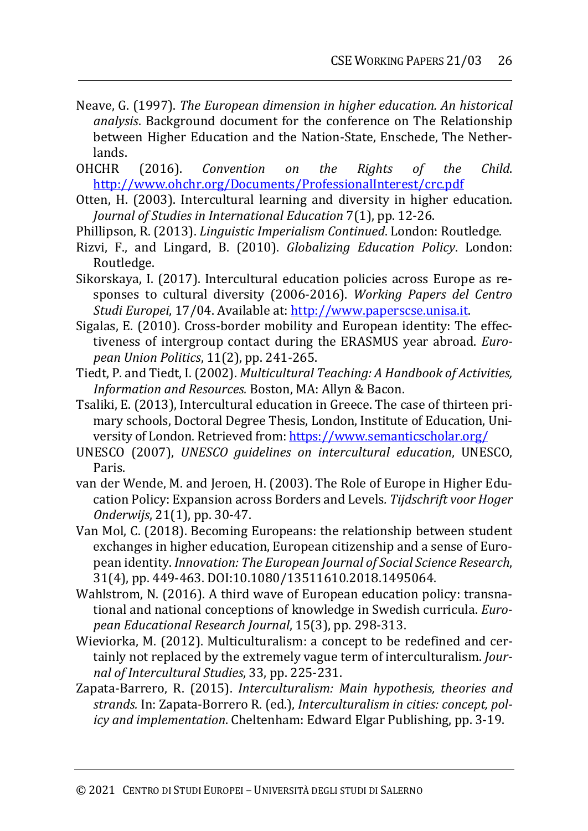- Neave, G. (1997). *The European dimension in higher education. An historical analysis*. Background document for the conference on The Relationship between Higher Education and the Nation-State, Enschede, The Netherlands.
- OHCHR (2016). *Convention on the Rights of the Child*. http://www.ohchr.org/Documents/ProfessionalInterest/crc.pdf
- Otten, H. (2003). Intercultural learning and diversity in higher education. *Journal of Studies in International Education* 7(1), pp. 12-26.
- Phillipson, R. (2013). *Linguistic Imperialism Continued*. London: Routledge.
- Rizvi, F., and Lingard, B. (2010). *Globalizing Education Policy*. London: Routledge.
- Sikorskaya, I. (2017). Intercultural education policies across Europe as responses to cultural diversity (2006-2016). *Working Papers del Centro Studi Europei*, 17/04. Available at: http://www.paperscse.unisa.it.
- Sigalas, E. (2010). Cross-border mobility and European identity: The effectiveness of intergroup contact during the ERASMUS year abroad. *European Union Politics*, 11(2), pp. 241-265.
- Tiedt, P. and Tiedt, I. (2002). *Multicultural Teaching: A Handbook of Activities, Information and Resources.* Boston, MA: Allyn & Bacon.
- Tsaliki, E. (2013), Intercultural education in Greece. The case of thirteen primary schools, Doctoral Degree Thesis, London, Institute of Education, University of London. Retrieved from: https://www.semanticscholar.org/
- UNESCO (2007), *UNESCO guidelines on intercultural education*, UNESCO, Paris.
- van der Wende, M. and Jeroen, H. (2003). The Role of Europe in Higher Education Policy: Expansion across Borders and Levels*. Tijdschrift voor Hoger Onderwijs*, 21(1), pp. 30-47.
- Van Mol, C. (2018). Becoming Europeans: the relationship between student exchanges in higher education, European citizenship and a sense of European identity. *Innovation: The European Journal of Social Science Research*, 31(4), pp. 449-463. DOI:10.1080/13511610.2018.1495064.
- Wahlstrom, N. (2016). A third wave of European education policy: transnational and national conceptions of knowledge in Swedish curricula. *European Educational Research Journal*, 15(3), pp. 298-313.
- Wieviorka, M. (2012). Multiculturalism: a concept to be redefined and certainly not replaced by the extremely vague term of interculturalism. *Journal of Intercultural Studies*, 33, pp. 225-231.
- Zapata-Barrero, R. (2015). *Interculturalism: Main hypothesis, theories and strands.* In: Zapata-Borrero R. (ed.), *Interculturalism in cities: concept, policy and implementation*. Cheltenham: Edward Elgar Publishing, pp. 3-19.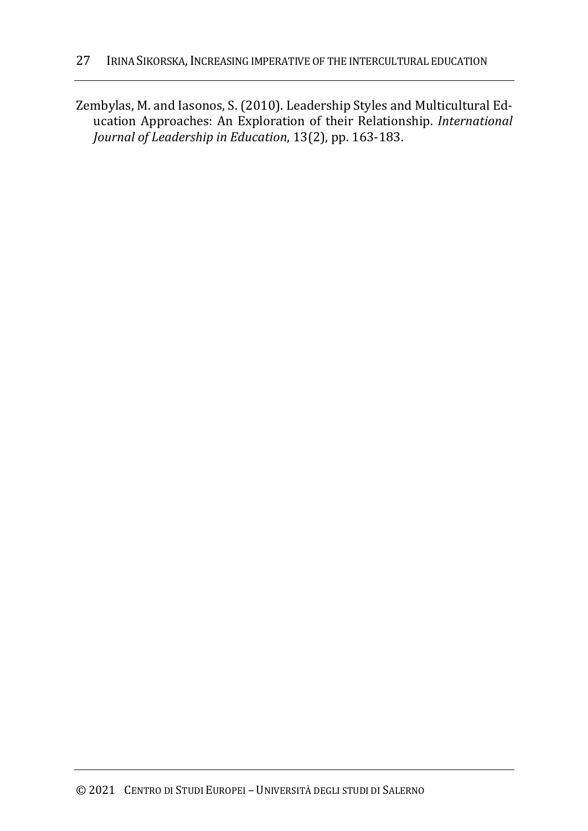Zembylas, M. and Iasonos, S. (2010). Leadership Styles and Multicultural Education Approaches: An Exploration of their Relationship. *International Journal of Leadership in Education*, 13(2), pp. 163-183.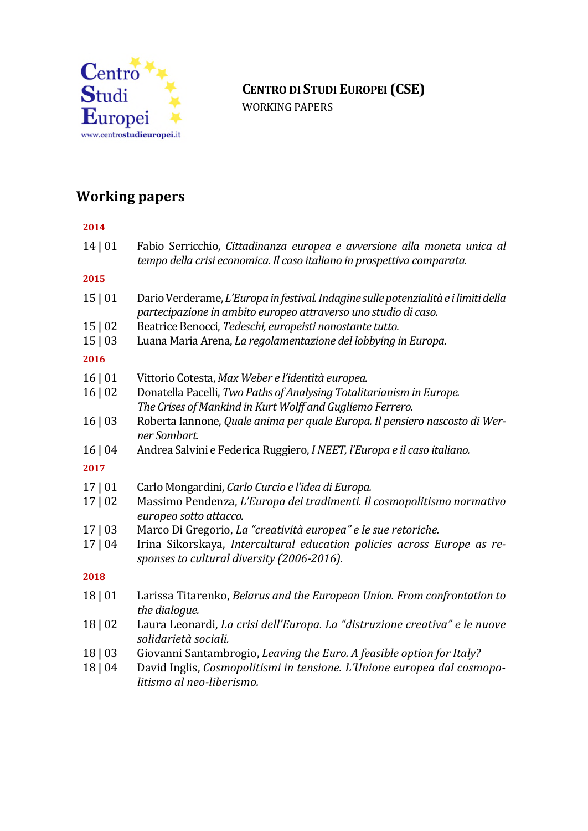

# **CENTRO DI STUDIEUROPEI (CSE)**

WORKING PAPERS

## **Working papers**

### **2014** 14 | 01 Fabio Serricchio, *Cittadinanza europea e avversione alla moneta unica al tempo della crisi economica. Il caso italiano in prospettiva comparata.* **2015** 15 | 01 Dario Verderame,*L'Europa in festival. Indaginesullepotenzialità e i limiti della partecipazione in ambito europeo attraverso uno studio di caso.* 15 | 02 Beatrice Benocci, *Tedeschi, europeisti nonostante tutto.* 15 | 03 Luana Maria Arena, *La regolamentazione del lobbying in Europa.* **2016** 16 | 01 Vittorio Cotesta,*Max Weber e l'identità europea.* 16 | 02 Donatella Pacelli, *Two Paths of Analysing Totalitarianism in Europe. The Crises of Mankind in Kurt Wolff and Gugliemo Ferrero.* 16 | 03 Roberta Iannone, *Quale anima per quale Europa. Il pensiero nascosto di Werner Sombart.* 16 | 04 Andrea Salvini e Federica Ruggiero,*I NEET, l'Europa e il caso italiano.* **2017** 17 | 01 Carlo Mongardini, *Carlo Curcio e l'idea di Europa.* 17 | 02 Massimo Pendenza, *L'Europa dei tradimenti. Il cosmopolitismo normativo europeo sotto attacco.* 17 | 03 Marco Di Gregorio, *La "creatività europea" e le sue retoriche.* 17 | 04 Irina Sikorskaya, *Intercultural education policies across Europe as responses to cultural diversity (2006-2016).* **2018** 18 | 01 Larissa Titarenko, *Belarus and the European Union. From confrontation to the dialogue.* 18 | 02 Laura Leonardi, *La crisi dell'Europa. La "distruzione creativa" e le nuove solidarietà sociali.* 18 | 03 Giovanni Santambrogio, *Leaving the Euro. A feasible option for Italy?* 18 | 04 David Inglis, *Cosmopolitismi in tensione. L'Unione europea dal cosmopo-*

*litismo al neo-liberismo.*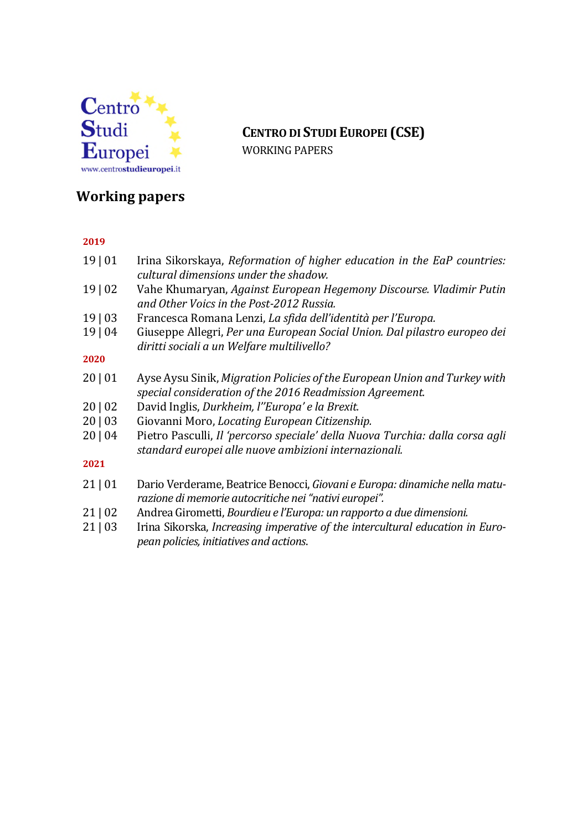

## **CENTRO DI STUDIEUROPEI (CSE)**

WORKING PAPERS

## **Working papers**

#### **2019**

- 19 | 01 Irina Sikorskaya, *Reformation of higher education in the EaP countries: cultural dimensions under the shadow.*
- 19 | 02 Vahe Khumaryan, *Against European Hegemony Discourse. Vladimir Putin and Other Voics in the Post-2012 Russia.*
- 19 | 03 Francesca Romana Lenzi, *La sfida dell'identità per l'Europa.*
- 19 | 04 Giuseppe Allegri, *Per una European Social Union. Dal pilastro europeo dei diritti sociali a un Welfare multilivello?*

#### **2020**

- 20 | 01 Ayse Aysu Sinik,*Migration Policies of the European Union and Turkey with special consideration of the 2016 Readmission Agreement.*
- 20 | 02 David Inglis, *Durkheim, l''Europa' e la Brexit.*
- 20 | 03 Giovanni Moro, *Locating European Citizenship.*
- 20 | 04 Pietro Pasculli, *Il 'percorso speciale' della Nuova Turchia: dalla corsa agli standard europei alle nuove ambizioni internazionali.*

#### **2021**

- 21 | 01 Dario Verderame, Beatrice Benocci, *Giovani e Europa: dinamiche nella maturazione di memorie autocritiche nei "nativi europei".*
- 21 | 02 Andrea Girometti, *Bourdieu e l'Europa: un rapporto a due dimensioni.*
- 21 | 03 Irina Sikorska, *Increasing imperative of the intercultural education in European policies, initiatives and actions*.